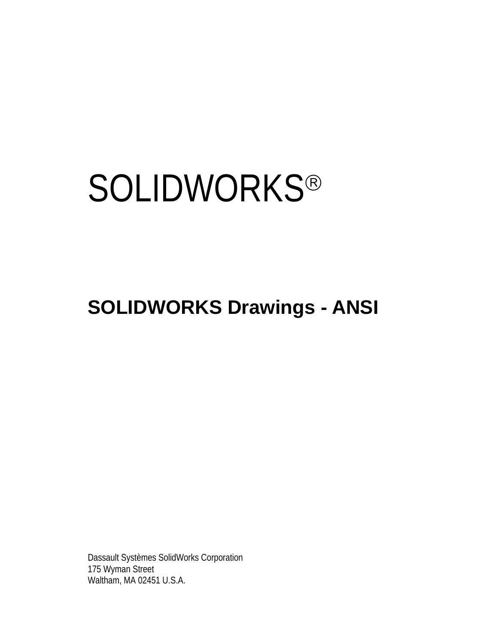# **SOLIDWORKS®**

# **SOLIDWORKS Drawings - ANSI**

Dassault Systèmes SolidWorks Corporation 175 Wyman Street Waltham, MA 02451 U.S.A.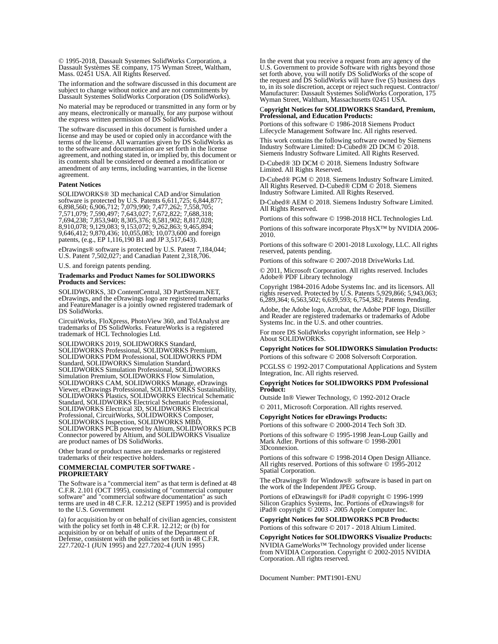© 1995-2018, Dassault Systemes SolidWorks Corporation, a Dassault Systèmes SE company, 175 Wyman Street, Waltham, Mass. 02451 USA. All Rights Reserved.

The information and the software discussed in this document are subject to change without notice and are not commitments by Dassault Systemes SolidWorks Corporation (DS SolidWorks).

No material may be reproduced or transmitted in any form or by any means, electronically or manually, for any purpose without the express written permission of DS SolidWorks.

The software discussed in this document is furnished under a license and may be used or copied only in accordance with the terms of the license. All warranties given by DS SolidWorks as to the software and documentation are set forth in the license agreement, and nothing stated in, or implied by, this document or its contents shall be considered or deemed a modification or amendment of any terms, including warranties, in the license agreement.

#### **Patent Notices**

SOLIDWORKS® 3D mechanical CAD and/or Simulation software is protected by U.S. Patents 6,611,725; 6,844,877; 6,898,560; 6,906,712; 7,079,990; 7,477,262; 7,558,705; 7,571,079; 7,590,497; 7,643,027; 7,672,822; 7,688,318; 7,694,238; 7,853,940; 8,305,376; 8,581,902; 8,817,028; 8,910,078; 9,129,083; 9,153,072; 9,262,863; 9,465,894; 9,646,412; 9,870,436; 10,055,083; 10,073,600 and foreign patents, (e.g., EP 1,116,190 B1 and JP 3,517,643).

eDrawings® software is protected by U.S. Patent 7,184,044; U.S. Patent 7,502,027; and Canadian Patent 2,318,706.

U.S. and foreign patents pending.

#### **Trademarks and Product Names for SOLIDWORKS Products and Services:**

SOLIDWORKS, 3D ContentCentral, 3D PartStream.NET, eDrawings, and the eDrawings logo are registered trademarks and FeatureManager is a jointly owned registered trademark of DS SolidWorks.

CircuitWorks, FloXpress, PhotoView 360, and TolAnalyst are trademarks of DS SolidWorks. FeatureWorks is a registered trademark of HCL Technologies Ltd.

SOLIDWORKS 2019, SOLIDWORKS Standard, SOLIDWORKS Professional, SOLIDWORKS Premium, SOLIDWORKS PDM Professional, SOLIDWORKS PDM Standard, SOLIDWORKS Simulation Standard, SOLIDWORKS Simulation Professional, SOLIDWORKS Simulation Premium, SOLIDWORKS Flow Simulation, SOLIDWORKS CAM, SOLIDWORKS Manage, eDrawings Viewer, eDrawings Professional, SOLIDWORKS Sustainability, SOLIDWORKS Plastics, SOLIDWORKS Electrical Schematic Standard, SOLIDWORKS Electrical Schematic Professional, SOLIDWORKS Electrical 3D, SOLIDWORKS Electrical Professional, CircuitWorks, SOLIDWORKS Composer, SOLIDWORKS Inspection, SOLIDWORKS MBD, SOLIDWORKS PCB powered by Altium, SOLIDWORKS PCB Connector powered by Altium, and SOLIDWORKS Visualize are product names of DS SolidWorks.

Other brand or product names are trademarks or registered trademarks of their respective holders.

#### **COMMERCIAL COMPUTER SOFTWARE - PROPRIETARY**

The Software is a "commercial item" as that term is defined at 48 C.F.R. 2.101 (OCT 1995), consisting of "commercial computer software" and "commercial software documentation" as such terms are used in 48 C.F.R. 12.212 (SEPT 1995) and is provided to the U.S. Government

(a) for acquisition by or on behalf of civilian agencies, consistent with the policy set forth in 48 C.F.R. 12.212; or (b) for acquisition by or on behalf of units of the Department of Defense, consistent with the policies set forth in 48 C.F.R. 227.7202-1 (JUN 1995) and 227.7202-4 (JUN 1995)

In the event that you receive a request from any agency of the U.S. Government to provide Software with rights beyond those set forth above, you will notify DS SolidWorks of the scope of the request and DS SolidWorks will have five (5) business days to, in its sole discretion, accept or reject such request. Contractor/ Manufacturer: Dassault Systemes SolidWorks Corporation, 175 Wyman Street, Waltham, Massachusetts 02451 USA.

#### C**opyright Notices for SOLIDWORKS Standard, Premium, Professional, and Education Products:**

Portions of this software © 1986-2018 Siemens Product Lifecycle Management Software Inc. All rights reserved.

This work contains the following software owned by Siemens Industry Software Limited: D-Cubed® 2D DCM © 2018. Siemens Industry Software Limited. All Rights Reserved.

D-Cubed® 3D DCM © 2018. Siemens Industry Software Limited. All Rights Reserved.

D-Cubed® PGM © 2018. Siemens Industry Software Limited. All Rights Reserved. D-Cubed® CDM © 2018. Siemens Industry Software Limited. All Rights Reserved.

D-Cubed® AEM © 2018. Siemens Industry Software Limited. All Rights Reserved.

Portions of this software © 1998-2018 HCL Technologies Ltd.

Portions of this software incorporate PhysX™ by NVIDIA 2006- 2010.

Portions of this software © 2001-2018 Luxology, LLC. All rights reserved, patents pending.

ons of this software  $\odot$  2007-2018 DriveWorks Ltd.

© 2011, Microsoft Corporation. All rights reserved. Includes Adobe® PDF Library technology

Copyright 1984-2016 Adobe Systems Inc. and its licensors. All rights reserved. Protected by U.S. Patents 5,929,866; 5,943,063; 6,289,364; 6,563,502; 6,639,593; 6,754,382; Patents Pending.

Adobe, the Adobe logo, Acrobat, the Adobe PDF logo, Distiller and Reader are registered trademarks or trademarks of Adobe Systems Inc. in the U.S. and other countries.

For more DS SolidWorks copyright information, see Help > About SOLIDWORKS.

**Copyright Notices for SOLIDWORKS Simulation Products:** Portions of this software © 2008 Solversoft Corporation.

PCGLSS © 1992-2017 Computational Applications and System Integration, Inc. All rights reserved.

#### **Copyright Notices for SOLIDWORKS PDM Professional Product:**

Outside In® Viewer Technology, © 1992-2012 Oracle

© 2011, Microsoft Corporation. All rights reserved.

**Copyright Notices for eDrawings Products:** Portions of this software © 2000-2014 Tech Soft 3D. Portions of this software © 1995-1998 Jean-Loup Gailly and

Mark Adler. Portions of this software © 1998-2001 3Dconnexion.

Portions of this software © 1998-2014 Open Design Alliance. All rights reserved. Portions of this software © 1995-2012 Spatial Corporation.

The eDrawings® for Windows® software is based in part on the work of the Independent JPEG Group.

Portions of eDrawings® for iPad® copyright © 1996-1999 Silicon Graphics Systems, Inc. Portions of eDrawings® for iPad® copyright © 2003 - 2005 Apple Computer Inc.

**Copyright Notices for SOLIDWORKS PCB Products:** Portions of this software © 2017 - 2018 Altium Limited.

**Copyright Notices for SOLIDWORKS Visualize Products:**

NVIDIA GameWorks™ Technology provided under license from NVIDIA Corporation. Copyright © 2002-2015 NVIDIA Corporation. All rights reserved.

Document Number: PMT1901-ENU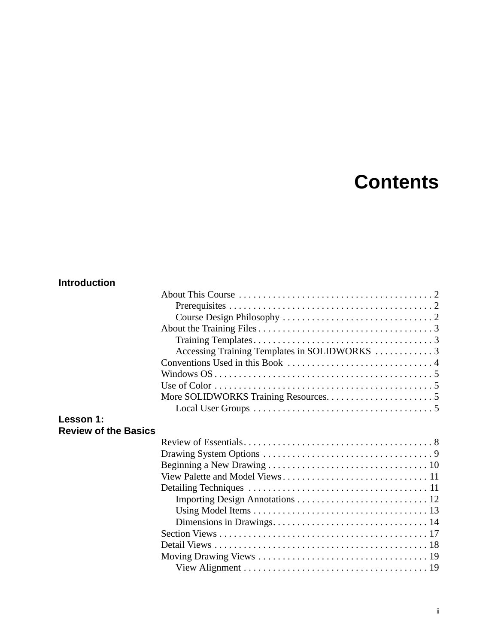# **Contents**

#### **Introduction**

|                                          | Accessing Training Templates in SOLIDWORKS  3 |  |
|------------------------------------------|-----------------------------------------------|--|
|                                          |                                               |  |
|                                          |                                               |  |
|                                          |                                               |  |
|                                          |                                               |  |
|                                          |                                               |  |
| Lesson 1:<br><b>Review of the Basics</b> |                                               |  |
|                                          |                                               |  |
|                                          |                                               |  |
|                                          |                                               |  |
|                                          |                                               |  |
|                                          |                                               |  |
|                                          |                                               |  |
|                                          |                                               |  |
|                                          |                                               |  |
|                                          |                                               |  |
|                                          |                                               |  |
|                                          |                                               |  |
|                                          |                                               |  |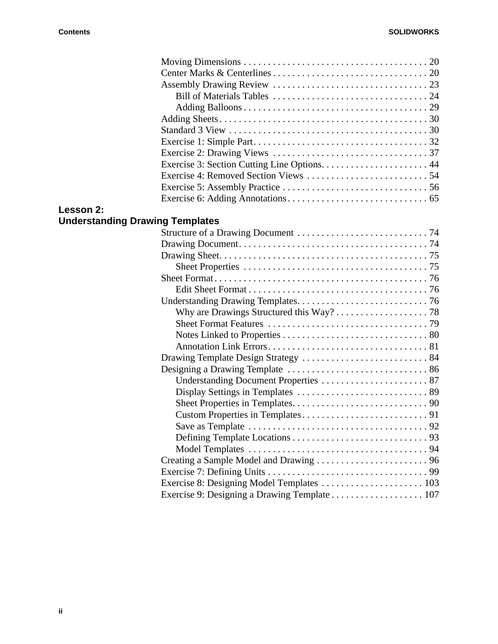| Lesson 2:                              |                                                                                                        |  |
|----------------------------------------|--------------------------------------------------------------------------------------------------------|--|
| <b>Understanding Drawing Templates</b> |                                                                                                        |  |
|                                        |                                                                                                        |  |
|                                        |                                                                                                        |  |
|                                        |                                                                                                        |  |
|                                        |                                                                                                        |  |
|                                        |                                                                                                        |  |
|                                        |                                                                                                        |  |
|                                        |                                                                                                        |  |
|                                        |                                                                                                        |  |
|                                        |                                                                                                        |  |
|                                        |                                                                                                        |  |
|                                        |                                                                                                        |  |
|                                        |                                                                                                        |  |
|                                        |                                                                                                        |  |
|                                        |                                                                                                        |  |
|                                        |                                                                                                        |  |
|                                        |                                                                                                        |  |
|                                        |                                                                                                        |  |
|                                        | Save as Template $\dots \dots \dots \dots \dots \dots \dots \dots \dots \dots \dots \dots \dots \dots$ |  |
|                                        |                                                                                                        |  |
|                                        |                                                                                                        |  |
|                                        |                                                                                                        |  |
|                                        |                                                                                                        |  |
|                                        | Exercise 8: Designing Model Templates  103                                                             |  |
|                                        |                                                                                                        |  |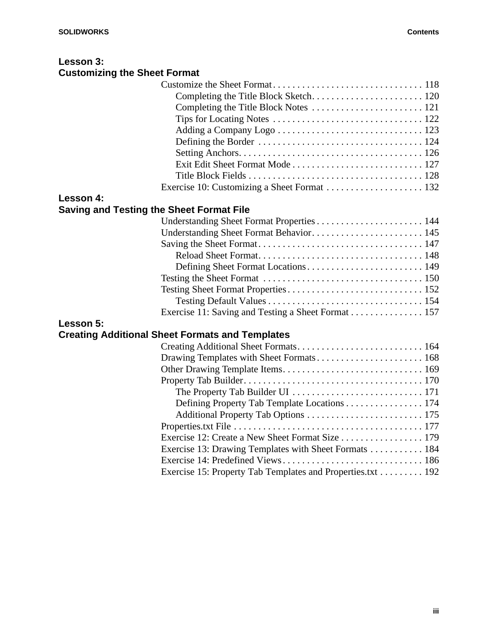#### **Lesson 3: Customizing the Sheet Format**

| Lesson 4:                                       |                                                    |
|-------------------------------------------------|----------------------------------------------------|
| <b>Saving and Testing the Sheet Format File</b> |                                                    |
|                                                 |                                                    |
|                                                 |                                                    |
|                                                 |                                                    |
|                                                 |                                                    |
|                                                 |                                                    |
|                                                 |                                                    |
|                                                 |                                                    |
|                                                 |                                                    |
|                                                 | Exercise 11: Saving and Testing a Sheet Format 157 |
|                                                 |                                                    |

## **Lesson 5:**

## **Creating Additional Sheet Formats and Templates**

| Defining Property Tab Template Locations 174               |
|------------------------------------------------------------|
|                                                            |
|                                                            |
| Exercise 12: Create a New Sheet Format Size 179            |
| Exercise 13: Drawing Templates with Sheet Formats 184      |
|                                                            |
| Exercise 15: Property Tab Templates and Properties.txt 192 |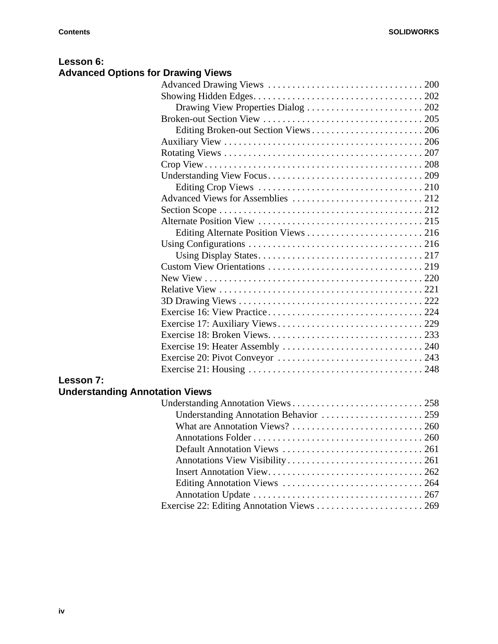#### **Lesson 6: Advanced Options for Drawing Views**

| Drawing View Properties Dialog  202 |
|-------------------------------------|
|                                     |
|                                     |
|                                     |
|                                     |
|                                     |
|                                     |
|                                     |
|                                     |
|                                     |
|                                     |
|                                     |
|                                     |
|                                     |
|                                     |
|                                     |
|                                     |
|                                     |
|                                     |
|                                     |
|                                     |
|                                     |
|                                     |
|                                     |
|                                     |

### **Lesson 7:**

# **Understanding Annotation Views**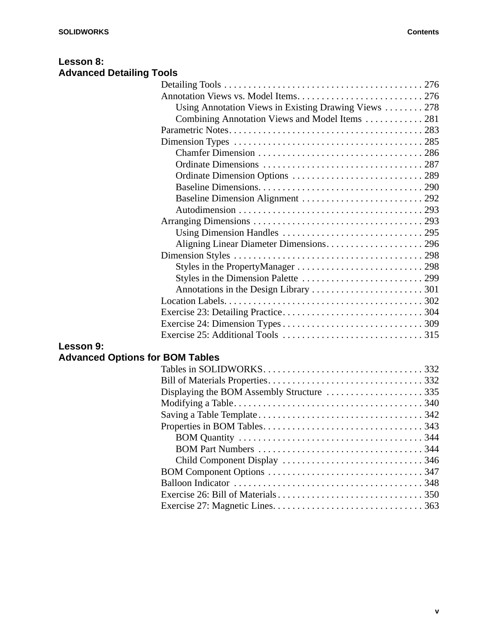| Lesson 8:                       |  |
|---------------------------------|--|
| <b>Advanced Detailing Tools</b> |  |

|        | Using Annotation Views in Existing Drawing Views $\ldots \ldots \ldots$ 278 |  |
|--------|-----------------------------------------------------------------------------|--|
|        |                                                                             |  |
|        |                                                                             |  |
|        |                                                                             |  |
|        |                                                                             |  |
|        |                                                                             |  |
|        |                                                                             |  |
|        |                                                                             |  |
|        |                                                                             |  |
|        |                                                                             |  |
|        |                                                                             |  |
|        |                                                                             |  |
|        |                                                                             |  |
|        |                                                                             |  |
|        |                                                                             |  |
|        |                                                                             |  |
|        |                                                                             |  |
|        |                                                                             |  |
|        |                                                                             |  |
|        |                                                                             |  |
|        |                                                                             |  |
| son 9: |                                                                             |  |

### **Lesson 9:**

# **Advanced Options for BOM Tables**